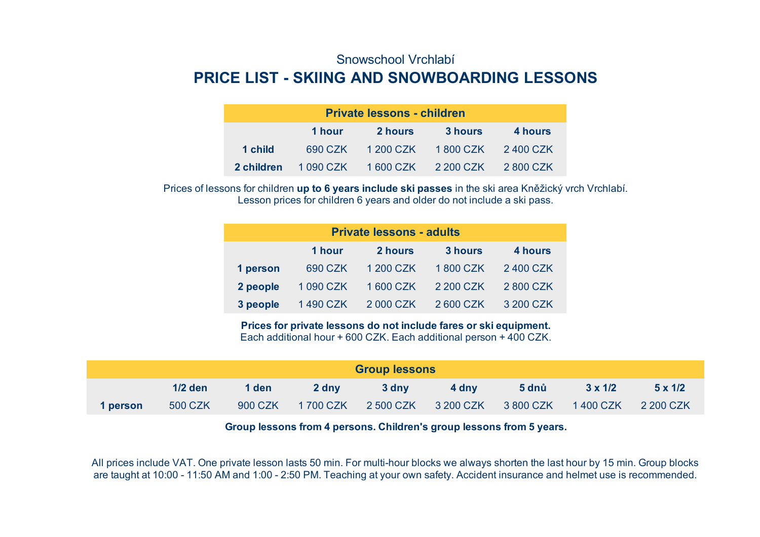## Snowschool Vrchlabí **PRICE LIST - SKIING AND SNOWBOARDING LESSONS**

| <b>Private lessons - children</b> |        |                                       |         |         |  |  |  |
|-----------------------------------|--------|---------------------------------------|---------|---------|--|--|--|
|                                   | 1 hour | <b>2 hours</b>                        | 3 hours | 4 hours |  |  |  |
| 1 child                           |        | 690 CZK 1 200 CZK 1 800 CZK 2 400 CZK |         |         |  |  |  |
| 2 children                        |        | 1090 CZK 1600 CZK 2200 CZK 2800 CZK   |         |         |  |  |  |

Lesson prices for children 6 years and older do not include a ski pass. Prices of lessons for children **up to 6 years include ski passes** in the ski area Kněžický vrch Vrchlabí.

| <b>Private lessons - adults</b>         |          |           |           |           |  |  |  |
|-----------------------------------------|----------|-----------|-----------|-----------|--|--|--|
| 2 hours<br>3 hours<br>4 hours<br>1 hour |          |           |           |           |  |  |  |
| 1 person                                | 690 CZK  | 1 200 CZK | 1800 CZK  | 2400 CZK  |  |  |  |
| 2 people                                | 1090 CZK | 1600 CZK  | 2 200 CZK | 2800 CZK  |  |  |  |
| 3 people                                | 1490 CZK | 2 000 CZK | 2 600 CZK | 3 200 CZK |  |  |  |

Each additional hour + 600 CZK. Each additional person + 400 CZK. **Prices for private lessons do not include fares or ski equipment.**

| <b>Group lessons</b> |           |         |       |                                     |       |              |                |                |
|----------------------|-----------|---------|-------|-------------------------------------|-------|--------------|----------------|----------------|
|                      | $1/2$ den | 1 den   | 2 dny | 3 dny                               | 4 dny | <b>5 dnů</b> | $3 \times 1/2$ | $5 \times 1/2$ |
| 1 person             | 500 CZK   | 900 CZK |       | 1700 CZK 2500 CZK 3200 CZK 3800 CZK |       |              | 1 400 CZK      | 2 200 CZK      |

**Group lessons from 4 persons. Children's group lessons from 5 years.**

All prices include VAT. One private lesson lasts 50 min. For multi-hour blocks we always shorten the last hour by 15 min. Group blocks are taught at 10:00 - 11:50 AM and 1:00 - 2:50 PM. Teaching at your own safety. Accident insurance and helmet use is recommended.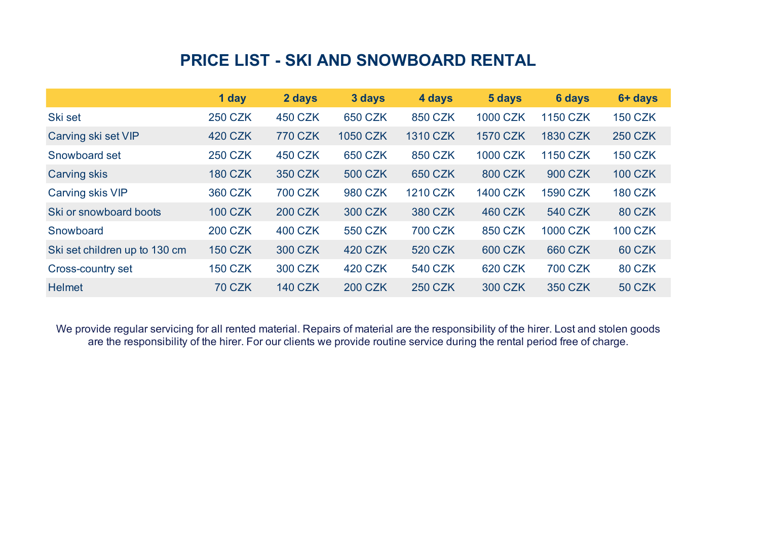## **PRICE LIST - SKI AND SNOWBOARD RENTAL**

|                               | 1 day          | 2 days         | 3 days          | 4 days          | 5 days          | <b>6 days</b>   | 6+ days        |
|-------------------------------|----------------|----------------|-----------------|-----------------|-----------------|-----------------|----------------|
| Ski set                       | <b>250 CZK</b> | <b>450 CZK</b> | 650 CZK         | 850 CZK         | <b>1000 CZK</b> | <b>1150 CZK</b> | <b>150 CZK</b> |
| Carving ski set VIP           | 420 CZK        | <b>770 CZK</b> | <b>1050 CZK</b> | <b>1310 CZK</b> | <b>1570 CZK</b> | <b>1830 CZK</b> | <b>250 CZK</b> |
| Snowboard set                 | <b>250 CZK</b> | <b>450 CZK</b> | 650 CZK         | 850 CZK         | <b>1000 CZK</b> | <b>1150 CZK</b> | <b>150 CZK</b> |
| <b>Carving skis</b>           | <b>180 CZK</b> | 350 CZK        | <b>500 CZK</b>  | <b>650 CZK</b>  | 800 CZK         | 900 CZK         | <b>100 CZK</b> |
| Carving skis VIP              | 360 CZK        | <b>700 CZK</b> | 980 CZK         | <b>1210 CZK</b> | <b>1400 CZK</b> | <b>1590 CZK</b> | <b>180 CZK</b> |
| Ski or snowboard boots        | <b>100 CZK</b> | <b>200 CZK</b> | 300 CZK         | 380 CZK         | <b>460 CZK</b>  | 540 CZK         | <b>80 CZK</b>  |
| Snowboard                     | <b>200 CZK</b> | 400 CZK        | <b>550 CZK</b>  | <b>700 CZK</b>  | 850 CZK         | <b>1000 CZK</b> | <b>100 CZK</b> |
| Ski set children up to 130 cm | <b>150 CZK</b> | 300 CZK        | 420 CZK         | 520 CZK         | 600 CZK         | 660 CZK         | <b>60 CZK</b>  |
| Cross-country set             | <b>150 CZK</b> | 300 CZK        | 420 CZK         | <b>540 CZK</b>  | 620 CZK         | <b>700 CZK</b>  | <b>80 CZK</b>  |
| <b>Helmet</b>                 | <b>70 CZK</b>  | <b>140 CZK</b> | <b>200 CZK</b>  | <b>250 CZK</b>  | <b>300 CZK</b>  | 350 CZK         | <b>50 CZK</b>  |

We provide regular servicing for all rented material. Repairs of material are the responsibility of the hirer. Lost and stolen goods are the responsibility of the hirer. For our clients we provide routine service during the rental period free of charge.